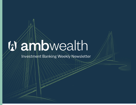## anbwealth  $\mathbb{Z}$

**Investment Banking Weekly Newsletter**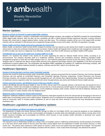# **W** ambwealth

## Weekly Newsletter June  $21^{st}$ , 2022

## **Market Updates**

#### **[Bardavon picked up Peerwell to expand digital MSK solutions](https://www.fiercehealthcare.com/digital-health/workers-comp-company-bardavon-picks-peerwell-expand-digital-msk-solutions)**

Bardavon Health Innovation, a worker's compensation and physical therapy company, has snapped up PeerWell to expand its musculoskeletal (MSK) digital health solutions. With the deal, the two companies will offer a hybrid physical therapy experience that pairs in-person physical therapy with virtual tools to support patients before, during, and after injury. The combined company will be one of the largest MSK provider networks with an estimated 21,000 physical and occupational therapy providers across all 50 states, with 90% US population coverage.

#### **Elation Health and Dock [Health partnered to automate the clinical task](https://www.fiercehealthcare.com/providers/elation-health-teams-workflow-management-startup-automate-administrative-tasks-practices)**

Elation Health, an electronic health records (EHR) company for primary care has teamed up with startup Dock Health to automate downstream clinical tasks to relieve the workload of already burned-out doctors. Elation Health will integrate Dock's healthcare task management solution with its EHR to enable care teams to collaborate more efficiently. Currently, more than 23,000 clinicians use Elation Health's EHR system.

#### **[UnitedHealth unit to pick up UK health tech company EMIS for \\$1.5B](https://www.fiercehealthcare.com/health-tech/unitedhealth-unit-buyout-deal-pick-uk-health-tech-firm-15b)**

Optum's U.K. business has worked in the country for 20 years supporting the state-run National Health Service (NHS), according to an announcement. The company describes itself as a healthcare software, services and consultancy business, delivering population health management programs to more than 45 million people in the U.K. and medicines optimization services across the country. Optum UK CEO Rob Sergeant said in a statement the deal to acquire EMIS will bring more advanced technology solutions and capabilities to the NHS and general practitioners to improve patient care. The combination will strengthen EMIS' capabilities as a leading U.K. healthcare technology company, with an enhanced ability to deliver important benefits for patients, clinicians and the NHS, Optum UK executives said.

## **Healthcare Operators**

#### **[Humana to bring pharmacy services under CenterWell umbrella](https://www.fiercehealthcare.com/payers/humana-brings-pharmacy-services-under-centerwell-umbrella)**

Humana has moved its pharmacy brands under CenterWell umbrella. Humana announced that the Humana Pharmacy and Humana Specialty Pharmacy will now operate as CenterWell Pharmacy and CenterWell Specialty Pharmacy respectively. Enclara Pharmacia and Humana Pharmacy Solutions, the company's pharmacy benefit management arm, will maintain their original branding. Humana has steadily transitioned its healthcare services segments under the Centerwell with senior-focused primary care clinics and Kindred at Home's health services.

#### **[Anthem launched Carelon, and Wellpoint ahead of Elevance Health's](https://www.fiercehealthcare.com/payers/anthem-launches-carelon-wellpoint-ahead-elevance-health-rebrand) rebrand**

Anthem will officially become Elevance Health on June 28, 2022, and as a part of its corporate rebrand, it will launch two new brands for two of its subsidiaries. Anthem will consolidate its healthcare services like its in-house pharmacy benefit Ingenio Rx and acquisitions of Beacon Health Options, a behavioral health provider, and myNEXUS, a home healthcare company under Carelon. Anthem will unify its Medicare, Medicaid, and commercial plans in certain markets under the Wellpoint brand.

#### **[Walgreens looks to disrupt the clinical trials business](https://www.fiercehealthcare.com/providers/pharmacy-retail-giant-walgreens-looks-disrupt-clinical-trials-business-it-builds)**

Walgreens' healthcare ambitions continue to grow as the pharmacy retail giant expands its reach into clinical trials by leveraging its vast trove of patient data, its technology assets and its retail locations. Walgreens aims to revolutionize the antiquated clinical trials model with an eye toward using its community reach to increase patient enrollment as well as racial and ethnic diversity in sponsor-led drug development research, executives said.

## **Healthcare Legislative and Regulatory Updates**

#### **[HHS issued guidance on HIPAA and audio-only telehealth](https://www.hhs.gov/about/news/2022/06/13/hhs-issues-guidance-hipaa-audio-telehealth.html)**

The Department of Health and Human Services (HHS), through its Office for Civil Rights (OCR), has issued the guidance on how healthcare providers and health plans can use remote communication technologies to provide audio-only telehealth services without running afoul of the Health Insurance Portability and Accountability Act (HIPAA), which focuses on how sensitive health information is disclosed over various communication channels.

#### **[Supreme Court rules in favor of hospitals in 340B lawsuit](https://www.healthcarefinancenews.com/news/supreme-court-rules-favor-hospitals-340b-lawsuit#:~:text=The%20Supreme%20Court%20on%20Wednesday,Services%2C%20or%20what%20comes%20next.)**

The Supreme Court on Wednesday handed up a ruling in favor of hospitals' claims to 340B drug reimbursement, but left questions for providers as to how they will be made whole for the two years they didn't receive billions from the Department of Health and Human Services, or what comes next. The justices were unanimous in their opinion to reverse a 2020 circuit court opinion that went against the hospitals. The Supreme Court remanded the case for "further proceedings consistent with this opinion," wrote Justice Brett Kavanaugh, who delivered the opinion.